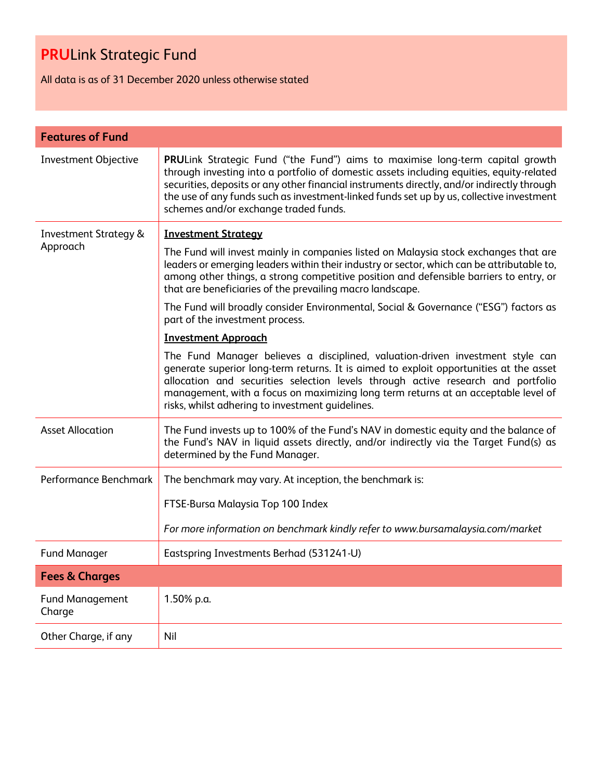All data is as of 31 December 2020 unless otherwise stated

| <b>Features of Fund</b>                      |                                                                                                                                                                                                                                                                                                                                                                                                                                                                                                    |  |
|----------------------------------------------|----------------------------------------------------------------------------------------------------------------------------------------------------------------------------------------------------------------------------------------------------------------------------------------------------------------------------------------------------------------------------------------------------------------------------------------------------------------------------------------------------|--|
| <b>Investment Objective</b>                  | PRULink Strategic Fund ("the Fund") aims to maximise long-term capital growth<br>through investing into a portfolio of domestic assets including equities, equity-related<br>securities, deposits or any other financial instruments directly, and/or indirectly through<br>the use of any funds such as investment-linked funds set up by us, collective investment<br>schemes and/or exchange traded funds.                                                                                      |  |
| <b>Investment Strategy &amp;</b><br>Approach | <b>Investment Strategy</b><br>The Fund will invest mainly in companies listed on Malaysia stock exchanges that are<br>leaders or emerging leaders within their industry or sector, which can be attributable to,<br>among other things, a strong competitive position and defensible barriers to entry, or<br>that are beneficiaries of the prevailing macro landscape.<br>The Fund will broadly consider Environmental, Social & Governance ("ESG") factors as<br>part of the investment process. |  |
|                                              | <b>Investment Approach</b><br>The Fund Manager believes a disciplined, valuation-driven investment style can<br>generate superior long-term returns. It is aimed to exploit opportunities at the asset<br>allocation and securities selection levels through active research and portfolio<br>management, with a focus on maximizing long term returns at an acceptable level of<br>risks, whilst adhering to investment guidelines.                                                               |  |
| <b>Asset Allocation</b>                      | The Fund invests up to 100% of the Fund's NAV in domestic equity and the balance of<br>the Fund's NAV in liquid assets directly, and/or indirectly via the Target Fund(s) as<br>determined by the Fund Manager.                                                                                                                                                                                                                                                                                    |  |
| Performance Benchmark                        | The benchmark may vary. At inception, the benchmark is:<br>FTSE-Bursa Malaysia Top 100 Index<br>For more information on benchmark kindly refer to www.bursamalaysia.com/market                                                                                                                                                                                                                                                                                                                     |  |
| <b>Fund Manager</b>                          | Eastspring Investments Berhad (531241-U)                                                                                                                                                                                                                                                                                                                                                                                                                                                           |  |
| <b>Fees &amp; Charges</b>                    |                                                                                                                                                                                                                                                                                                                                                                                                                                                                                                    |  |
| <b>Fund Management</b><br>Charge             | 1.50% p.a.                                                                                                                                                                                                                                                                                                                                                                                                                                                                                         |  |
| Other Charge, if any                         | Nil                                                                                                                                                                                                                                                                                                                                                                                                                                                                                                |  |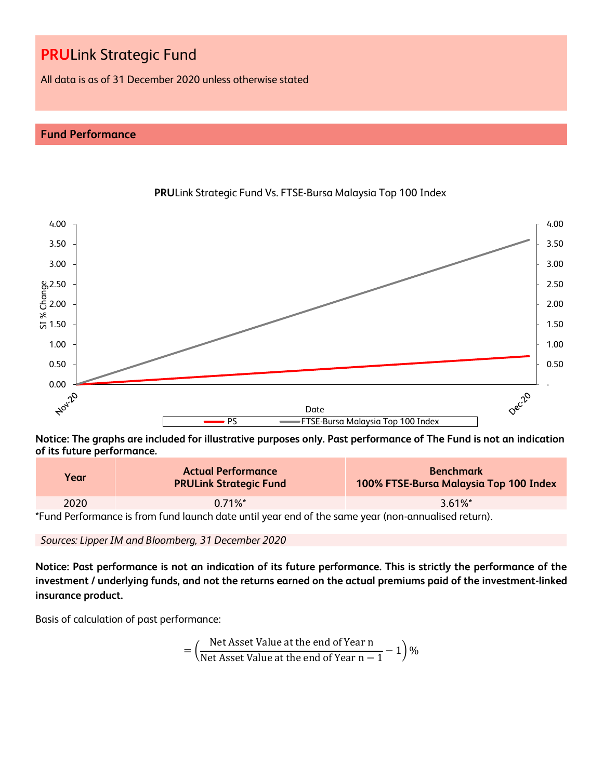All data is as of 31 December 2020 unless otherwise stated

# **Fund Performance**



# **PRU**Link Strategic Fund Vs. FTSE-Bursa Malaysia Top 100 Index

**Notice: The graphs are included for illustrative purposes only. Past performance of The Fund is not an indication of its future performance.**

| Year                                                                                               | <b>Actual Performance</b><br><b>PRULink Strategic Fund</b> | <b>Benchmark</b><br>100% FTSE-Bursa Malaysia Top 100 Index |
|----------------------------------------------------------------------------------------------------|------------------------------------------------------------|------------------------------------------------------------|
| 2020                                                                                               | $0.71\%$ <sup>*</sup>                                      | $3.61\%$ <sup>*</sup>                                      |
| Fund Performance is from fund launch date until year end of the same year (non-annualised return). |                                                            |                                                            |

*Sources: Lipper IM and Bloomberg, 31 December 2020*

**Notice: Past performance is not an indication of its future performance. This is strictly the performance of the investment / underlying funds, and not the returns earned on the actual premiums paid of the investment-linked insurance product.**

Basis of calculation of past performance:

$$
= \left(\frac{\text{Net Asset Value at the end of Year n}}{\text{Net Asset Value at the end of Year n} - 1}\right)\%
$$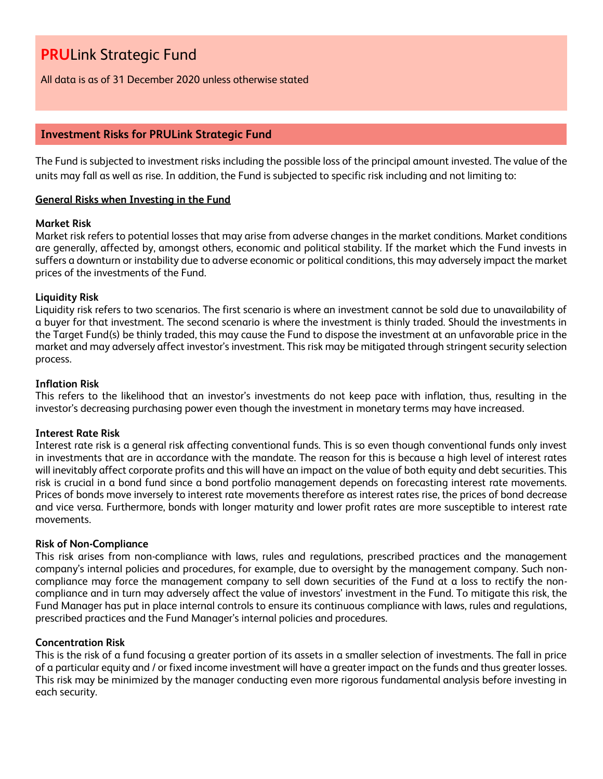All data is as of 31 December 2020 unless otherwise stated

# **Investment Risks for PRULink Strategic Fund**

The Fund is subjected to investment risks including the possible loss of the principal amount invested. The value of the units may fall as well as rise. In addition, the Fund is subjected to specific risk including and not limiting to:

# **General Risks when Investing in the Fund**

#### **Market Risk**

Market risk refers to potential losses that may arise from adverse changes in the market conditions. Market conditions are generally, affected by, amongst others, economic and political stability. If the market which the Fund invests in suffers a downturn or instability due to adverse economic or political conditions, this may adversely impact the market prices of the investments of the Fund.

#### **Liquidity Risk**

Liquidity risk refers to two scenarios. The first scenario is where an investment cannot be sold due to unavailability of a buyer for that investment. The second scenario is where the investment is thinly traded. Should the investments in the Target Fund(s) be thinly traded, this may cause the Fund to dispose the investment at an unfavorable price in the market and may adversely affect investor's investment. This risk may be mitigated through stringent security selection process.

# **Inflation Risk**

This refers to the likelihood that an investor's investments do not keep pace with inflation, thus, resulting in the investor's decreasing purchasing power even though the investment in monetary terms may have increased.

# **Interest Rate Risk**

Interest rate risk is a general risk affecting conventional funds. This is so even though conventional funds only invest in investments that are in accordance with the mandate. The reason for this is because a high level of interest rates will inevitably affect corporate profits and this will have an impact on the value of both equity and debt securities. This risk is crucial in a bond fund since a bond portfolio management depends on forecasting interest rate movements. Prices of bonds move inversely to interest rate movements therefore as interest rates rise, the prices of bond decrease and vice versa. Furthermore, bonds with longer maturity and lower profit rates are more susceptible to interest rate movements.

#### **Risk of Non-Compliance**

This risk arises from non-compliance with laws, rules and regulations, prescribed practices and the management company's internal policies and procedures, for example, due to oversight by the management company. Such noncompliance may force the management company to sell down securities of the Fund at a loss to rectify the noncompliance and in turn may adversely affect the value of investors' investment in the Fund. To mitigate this risk, the Fund Manager has put in place internal controls to ensure its continuous compliance with laws, rules and regulations, prescribed practices and the Fund Manager's internal policies and procedures.

# **Concentration Risk**

This is the risk of a fund focusing a greater portion of its assets in a smaller selection of investments. The fall in price of a particular equity and / or fixed income investment will have a greater impact on the funds and thus greater losses. This risk may be minimized by the manager conducting even more rigorous fundamental analysis before investing in each security.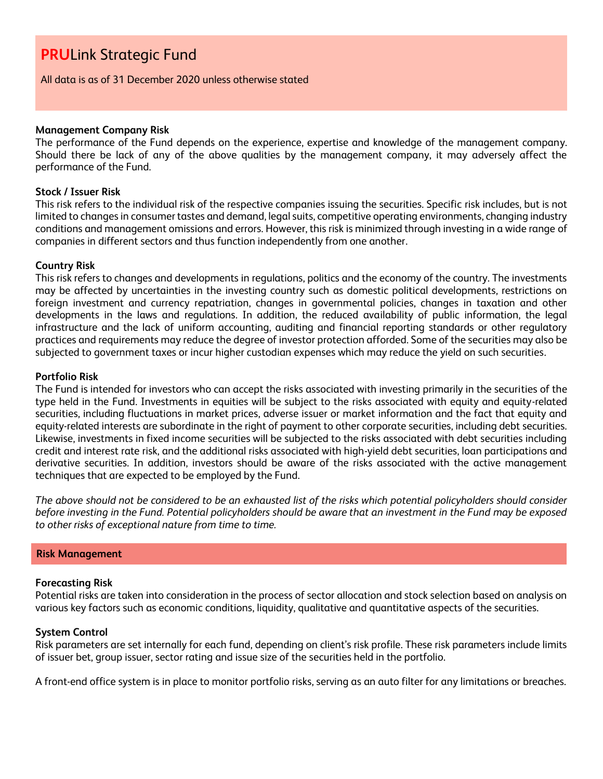All data is as of 31 December 2020 unless otherwise stated

### **Management Company Risk**

The performance of the Fund depends on the experience, expertise and knowledge of the management company. Should there be lack of any of the above qualities by the management company, it may adversely affect the performance of the Fund.

### **Stock / Issuer Risk**

This risk refers to the individual risk of the respective companies issuing the securities. Specific risk includes, but is not limited to changes in consumer tastes and demand, legal suits, competitive operating environments, changing industry conditions and management omissions and errors. However, this risk is minimized through investing in a wide range of companies in different sectors and thus function independently from one another.

#### **Country Risk**

This risk refers to changes and developments in regulations, politics and the economy of the country. The investments may be affected by uncertainties in the investing country such as domestic political developments, restrictions on foreign investment and currency repatriation, changes in governmental policies, changes in taxation and other developments in the laws and regulations. In addition, the reduced availability of public information, the legal infrastructure and the lack of uniform accounting, auditing and financial reporting standards or other regulatory practices and requirements may reduce the degree of investor protection afforded. Some of the securities may also be subjected to government taxes or incur higher custodian expenses which may reduce the yield on such securities.

#### **Portfolio Risk**

The Fund is intended for investors who can accept the risks associated with investing primarily in the securities of the type held in the Fund. Investments in equities will be subject to the risks associated with equity and equity-related securities, including fluctuations in market prices, adverse issuer or market information and the fact that equity and equity-related interests are subordinate in the right of payment to other corporate securities, including debt securities. Likewise, investments in fixed income securities will be subjected to the risks associated with debt securities including credit and interest rate risk, and the additional risks associated with high-yield debt securities, loan participations and derivative securities. In addition, investors should be aware of the risks associated with the active management techniques that are expected to be employed by the Fund.

*The above should not be considered to be an exhausted list of the risks which potential policyholders should consider before investing in the Fund. Potential policyholders should be aware that an investment in the Fund may be exposed to other risks of exceptional nature from time to time.*

# **Risk Management**

#### **Forecasting Risk**

Potential risks are taken into consideration in the process of sector allocation and stock selection based on analysis on various key factors such as economic conditions, liquidity, qualitative and quantitative aspects of the securities.

#### **System Control**

Risk parameters are set internally for each fund, depending on client's risk profile. These risk parameters include limits of issuer bet, group issuer, sector rating and issue size of the securities held in the portfolio.

A front-end office system is in place to monitor portfolio risks, serving as an auto filter for any limitations or breaches.